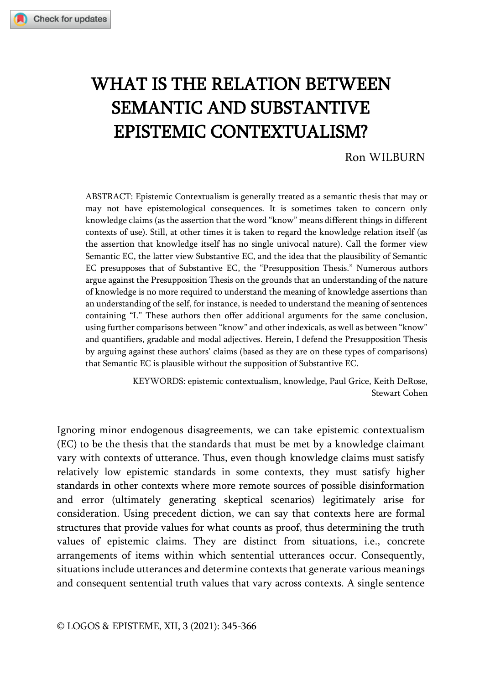# WHAT IS THE RELATION BETWEEN SEMANTIC AND SUBSTANTIVE EPISTEMIC CONTEXTUALISM?

## Ron WILBURN

ABSTRACT: Epistemic Contextualism is generally treated as a semantic thesis that may or may not have epistemological consequences. It is sometimes taken to concern only knowledge claims (as the assertion that the word "know" means different things in different contexts of use). Still, at other times it is taken to regard the knowledge relation itself (as the assertion that knowledge itself has no single univocal nature). Call the former view Semantic EC, the latter view Substantive EC, and the idea that the plausibility of Semantic EC presupposes that of Substantive EC, the "Presupposition Thesis." Numerous authors argue against the Presupposition Thesis on the grounds that an understanding of the nature of knowledge is no more required to understand the meaning of knowledge assertions than an understanding of the self, for instance, is needed to understand the meaning of sentences containing "I." These authors then offer additional arguments for the same conclusion, using further comparisons between "know" and other indexicals, as well as between "know" and quantifiers, gradable and modal adjectives. Herein, I defend the Presupposition Thesis by arguing against these authors' claims (based as they are on these types of comparisons) that Semantic EC is plausible without the supposition of Substantive EC.

> KEYWORDS: epistemic contextualism, knowledge, Paul Grice, Keith DeRose, Stewart Cohen

Ignoring minor endogenous disagreements, we can take epistemic contextualism (EC) to be the thesis that the standards that must be met by a knowledge claimant vary with contexts of utterance. Thus, even though knowledge claims must satisfy relatively low epistemic standards in some contexts, they must satisfy higher standards in other contexts where more remote sources of possible disinformation and error (ultimately generating skeptical scenarios) legitimately arise for consideration. Using precedent diction, we can say that contexts here are formal structures that provide values for what counts as proof, thus determining the truth values of epistemic claims. They are distinct from situations, i.e., concrete arrangements of items within which sentential utterances occur. Consequently, situations include utterances and determine contexts that generate various meanings and consequent sentential truth values that vary across contexts. A single sentence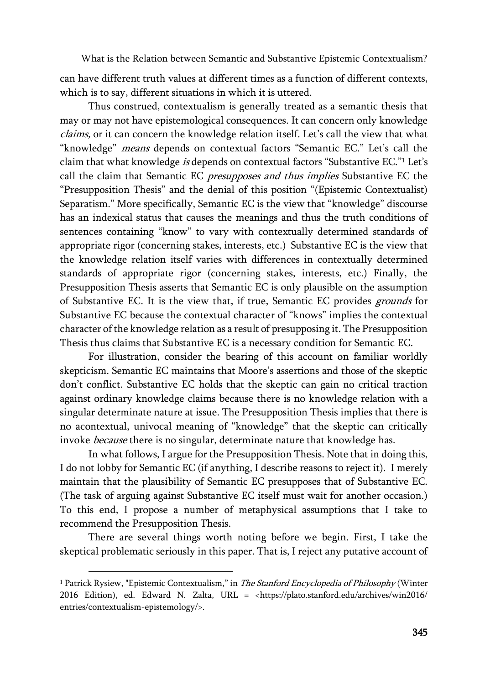can have different truth values at different times as a function of different contexts, which is to say, different situations in which it is uttered.

Thus construed, contextualism is generally treated as a semantic thesis that may or may not have epistemological consequences. It can concern only knowledge claims, or it can concern the knowledge relation itself. Let's call the view that what "knowledge" *means* depends on contextual factors "Semantic EC." Let's call the claim that what knowledge is depends on contextual factors "Substantive EC."<sup>1</sup> Let's call the claim that Semantic EC presupposes and thus implies Substantive EC the "Presupposition Thesis" and the denial of this position "(Epistemic Contextualist) Separatism." More specifically, Semantic EC is the view that "knowledge" discourse has an indexical status that causes the meanings and thus the truth conditions of sentences containing "know" to vary with contextually determined standards of appropriate rigor (concerning stakes, interests, etc.) Substantive EC is the view that the knowledge relation itself varies with differences in contextually determined standards of appropriate rigor (concerning stakes, interests, etc.) Finally, the Presupposition Thesis asserts that Semantic EC is only plausible on the assumption of Substantive EC. It is the view that, if true, Semantic EC provides grounds for Substantive EC because the contextual character of "knows" implies the contextual character of the knowledge relation as a result of presupposing it. The Presupposition Thesis thus claims that Substantive EC is a necessary condition for Semantic EC.

For illustration, consider the bearing of this account on familiar worldly skepticism. Semantic EC maintains that Moore's assertions and those of the skeptic don't conflict. Substantive EC holds that the skeptic can gain no critical traction against ordinary knowledge claims because there is no knowledge relation with a singular determinate nature at issue. The Presupposition Thesis implies that there is no acontextual, univocal meaning of "knowledge" that the skeptic can critically invoke *because* there is no singular, determinate nature that knowledge has.

In what follows, I argue for the Presupposition Thesis. Note that in doing this, I do not lobby for Semantic EC (if anything, I describe reasons to reject it). I merely maintain that the plausibility of Semantic EC presupposes that of Substantive EC. (The task of arguing against Substantive EC itself must wait for another occasion.) To this end, I propose a number of metaphysical assumptions that I take to recommend the Presupposition Thesis.

There are several things worth noting before we begin. First, I take the skeptical problematic seriously in this paper. That is, I reject any putative account of

<sup>&</sup>lt;sup>1</sup> Patrick Rysiew, "Epistemic Contextualism," in *The Stanford Encyclopedia of Philosophy* (Winter 2016 Edition), ed. Edward N. Zalta, URL = <https://plato.stanford.edu/archives/win2016/ entries/contextualism-epistemology/>.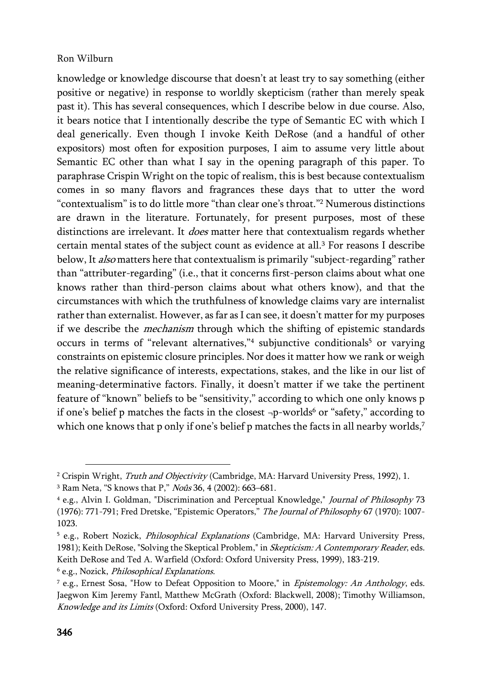knowledge or knowledge discourse that doesn't at least try to say something (either positive or negative) in response to worldly skepticism (rather than merely speak past it). This has several consequences, which I describe below in due course. Also, it bears notice that I intentionally describe the type of Semantic EC with which I deal generically. Even though I invoke Keith DeRose (and a handful of other expositors) most often for exposition purposes, I aim to assume very little about Semantic EC other than what I say in the opening paragraph of this paper. To paraphrase Crispin Wright on the topic of realism, this is best because contextualism comes in so many flavors and fragrances these days that to utter the word "contextualism" is to do little more "than clear one's throat."<sup>2</sup> Numerous distinctions are drawn in the literature. Fortunately, for present purposes, most of these distinctions are irrelevant. It *does* matter here that contextualism regards whether certain mental states of the subject count as evidence at all.<sup>3</sup> For reasons I describe below, It *also* matters here that contextualism is primarily "subject-regarding" rather than "attributer-regarding" (i.e., that it concerns first-person claims about what one knows rather than third-person claims about what others know), and that the circumstances with which the truthfulness of knowledge claims vary are internalist rather than externalist. However, as far as I can see, it doesn't matter for my purposes if we describe the mechanism through which the shifting of epistemic standards occurs in terms of "relevant alternatives,"<sup>4</sup> subjunctive conditionals<sup>5</sup> or varying constraints on epistemic closure principles. Nor does it matter how we rank or weigh the relative significance of interests, expectations, stakes, and the like in our list of meaning-determinative factors. Finally, it doesn't matter if we take the pertinent feature of "known" beliefs to be "sensitivity," according to which one only knows p if one's belief p matches the facts in the closest  $\neg p$ -worlds<sup>6</sup> or "safety," according to which one knows that p only if one's belief p matches the facts in all nearby worlds,<sup>7</sup>

<sup>6</sup> e.g., Nozick, Philosophical Explanations.

<sup>&</sup>lt;sup>2</sup> Crispin Wright, *Truth and Objectivity* (Cambridge, MA: Harvard University Press, 1992), 1.

<sup>&</sup>lt;sup>3</sup> Ram Neta, "S knows that P," *Noûs* 36, 4 (2002): 663-681.

<sup>4</sup> e.g., Alvin I. Goldman, "Discrimination and Perceptual Knowledge," Journal of Philosophy 73 (1976): 771-791; Fred Dretske, "Epistemic Operators," The Journal of Philosophy 67 (1970): 1007-1023.

<sup>&</sup>lt;sup>5</sup> e.g., Robert Nozick, *Philosophical Explanations* (Cambridge, MA: Harvard University Press, 1981); Keith DeRose, "Solving the Skeptical Problem," in Skepticism: A Contemporary Reader, eds. Keith DeRose and Ted A. Warfield (Oxford: Oxford University Press, 1999), 183-219.

 $^7$  e.g., Ernest Sosa, "How to Defeat Opposition to Moore," in *Epistemology: An Anthology*, eds. Jaegwon Kim Jeremy Fantl, Matthew McGrath (Oxford: Blackwell, 2008); Timothy Williamson, Knowledge and its Limits (Oxford: Oxford University Press, 2000), 147.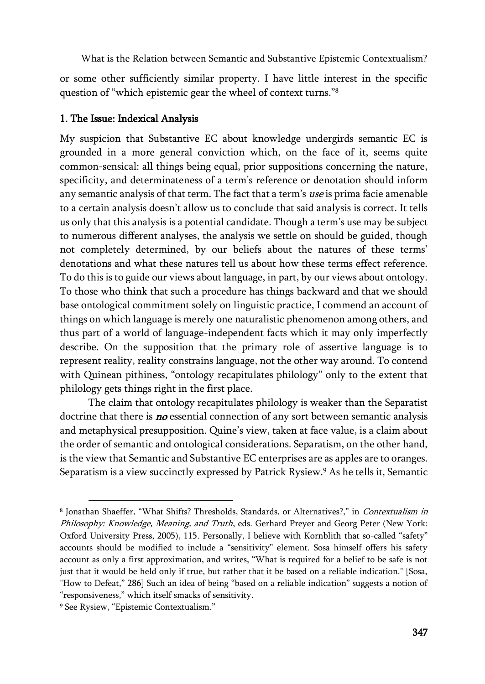or some other sufficiently similar property. I have little interest in the specific question of "which epistemic gear the wheel of context turns."<sup>8</sup>

## 1. The Issue: Indexical Analysis

My suspicion that Substantive EC about knowledge undergirds semantic EC is grounded in a more general conviction which, on the face of it, seems quite common-sensical: all things being equal, prior suppositions concerning the nature, specificity, and determinateness of a term's reference or denotation should inform any semantic analysis of that term. The fact that a term's use is prima facie amenable to a certain analysis doesn't allow us to conclude that said analysis is correct. It tells us only that this analysis is a potential candidate. Though a term's use may be subject to numerous different analyses, the analysis we settle on should be guided, though not completely determined, by our beliefs about the natures of these terms' denotations and what these natures tell us about how these terms effect reference. To do this is to guide our views about language, in part, by our views about ontology. To those who think that such a procedure has things backward and that we should base ontological commitment solely on linguistic practice, I commend an account of things on which language is merely one naturalistic phenomenon among others, and thus part of a world of language-independent facts which it may only imperfectly describe. On the supposition that the primary role of assertive language is to represent reality, reality constrains language, not the other way around. To contend with Quinean pithiness, "ontology recapitulates philology" only to the extent that philology gets things right in the first place.

The claim that ontology recapitulates philology is weaker than the Separatist doctrine that there is **no** essential connection of any sort between semantic analysis and metaphysical presupposition. Quine's view, taken at face value, is a claim about the order of semantic and ontological considerations. Separatism, on the other hand, is the view that Semantic and Substantive EC enterprises are as apples are to oranges. Separatism is a view succinctly expressed by Patrick Rysiew.<sup>9</sup> As he tells it, Semantic

<sup>&</sup>lt;sup>8</sup> Jonathan Shaeffer, "What Shifts? Thresholds, Standards, or Alternatives?," in *Contextualism in* Philosophy: Knowledge, Meaning, and Truth, eds. Gerhard Preyer and Georg Peter (New York: Oxford University Press, 2005), 115. Personally, I believe with Kornblith that so-called "safety" accounts should be modified to include a "sensitivity" element. Sosa himself offers his safety account as only a first approximation, and writes, "What is required for a belief to be safe is not just that it would be held only if true, but rather that it be based on a reliable indication." [Sosa, "How to Defeat," 286] Such an idea of being "based on a reliable indication" suggests a notion of "responsiveness," which itself smacks of sensitivity.

<sup>9</sup> See Rysiew, "Epistemic Contextualism."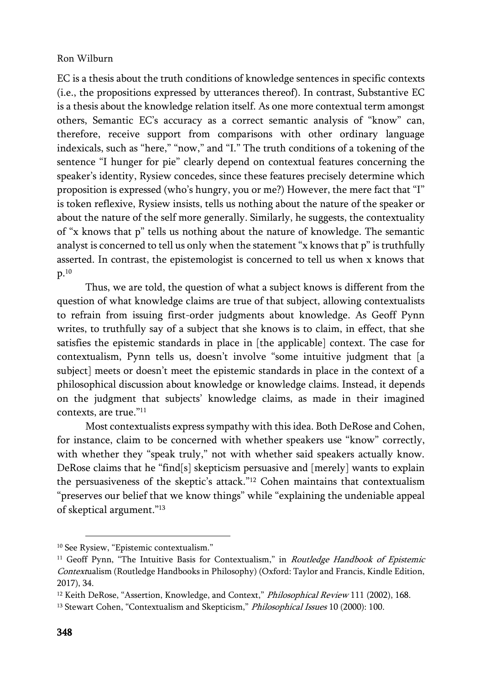EC is a thesis about the truth conditions of knowledge sentences in specific contexts (i.e., the propositions expressed by utterances thereof). In contrast, Substantive EC is a thesis about the knowledge relation itself. As one more contextual term amongst others, Semantic EC's accuracy as a correct semantic analysis of "know" can, therefore, receive support from comparisons with other ordinary language indexicals, such as "here," "now," and "I." The truth conditions of a tokening of the sentence "I hunger for pie" clearly depend on contextual features concerning the speaker's identity, Rysiew concedes, since these features precisely determine which proposition is expressed (who's hungry, you or me?) However, the mere fact that "I" is token reflexive, Rysiew insists, tells us nothing about the nature of the speaker or about the nature of the self more generally. Similarly, he suggests, the contextuality of "x knows that p" tells us nothing about the nature of knowledge. The semantic analyst is concerned to tell us only when the statement "x knows that p" is truthfully asserted. In contrast, the epistemologist is concerned to tell us when x knows that p.<sup>10</sup>

Thus, we are told, the question of what a subject knows is different from the question of what knowledge claims are true of that subject, allowing contextualists to refrain from issuing first-order judgments about knowledge. As Geoff Pynn writes, to truthfully say of a subject that she knows is to claim, in effect, that she satisfies the epistemic standards in place in [the applicable] context. The case for contextualism, Pynn tells us, doesn't involve "some intuitive judgment that [a subject] meets or doesn't meet the epistemic standards in place in the context of a philosophical discussion about knowledge or knowledge claims. Instead, it depends on the judgment that subjects' knowledge claims, as made in their imagined contexts, are true." 11

Most contextualists express sympathy with this idea. Both DeRose and Cohen, for instance, claim to be concerned with whether speakers use "know" correctly, with whether they "speak truly," not with whether said speakers actually know. DeRose claims that he "find[s] skepticism persuasive and [merely] wants to explain the persuasiveness of the skeptic's attack."<sup>12</sup> Cohen maintains that contextualism "preserves our belief that we know things" while "explaining the undeniable appeal of skeptical argument."<sup>13</sup>

<sup>&</sup>lt;sup>10</sup> See Rysiew, "Epistemic contextualism."

<sup>&</sup>lt;sup>11</sup> Geoff Pynn, "The Intuitive Basis for Contextualism," in *Routledge Handbook of Epistemic* Contextualism (Routledge Handbooks in Philosophy) (Oxford: Taylor and Francis, Kindle Edition, 2017), 34.

<sup>&</sup>lt;sup>12</sup> Keith DeRose, "Assertion, Knowledge, and Context," Philosophical Review 111 (2002), 168.

<sup>&</sup>lt;sup>13</sup> Stewart Cohen, "Contextualism and Skepticism," Philosophical Issues 10 (2000): 100.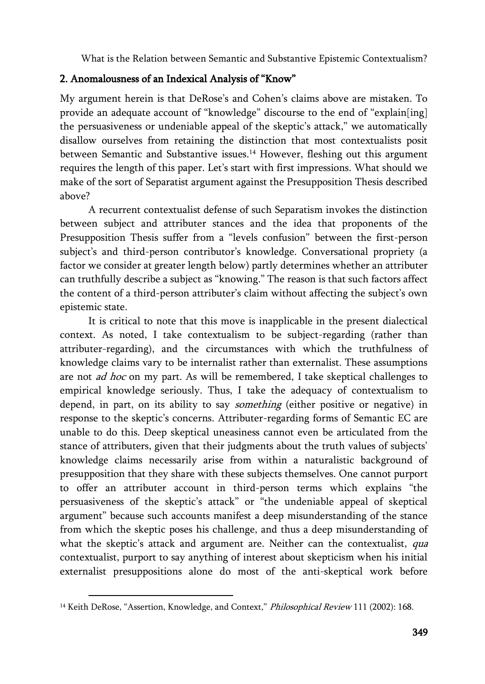## 2. Anomalousness of an Indexical Analysis of "Know"

My argument herein is that DeRose's and Cohen's claims above are mistaken. To provide an adequate account of "knowledge" discourse to the end of "explain[ing] the persuasiveness or undeniable appeal of the skeptic's attack," we automatically disallow ourselves from retaining the distinction that most contextualists posit between Semantic and Substantive issues.<sup>14</sup> However, fleshing out this argument requires the length of this paper. Let's start with first impressions. What should we make of the sort of Separatist argument against the Presupposition Thesis described above?

A recurrent contextualist defense of such Separatism invokes the distinction between subject and attributer stances and the idea that proponents of the Presupposition Thesis suffer from a "levels confusion" between the first-person subject's and third-person contributor's knowledge. Conversational propriety (a factor we consider at greater length below) partly determines whether an attributer can truthfully describe a subject as "knowing." The reason is that such factors affect the content of a third-person attributer's claim without affecting the subject's own epistemic state.

It is critical to note that this move is inapplicable in the present dialectical context. As noted, I take contextualism to be subject-regarding (rather than attributer-regarding), and the circumstances with which the truthfulness of knowledge claims vary to be internalist rather than externalist. These assumptions are not *ad hoc* on my part. As will be remembered, I take skeptical challenges to empirical knowledge seriously. Thus, I take the adequacy of contextualism to depend, in part, on its ability to say *something* (either positive or negative) in response to the skeptic's concerns. Attributer-regarding forms of Semantic EC are unable to do this. Deep skeptical uneasiness cannot even be articulated from the stance of attributers, given that their judgments about the truth values of subjects' knowledge claims necessarily arise from within a naturalistic background of presupposition that they share with these subjects themselves. One cannot purport to offer an attributer account in third-person terms which explains "the persuasiveness of the skeptic's attack" or "the undeniable appeal of skeptical argument" because such accounts manifest a deep misunderstanding of the stance from which the skeptic poses his challenge, and thus a deep misunderstanding of what the skeptic's attack and argument are. Neither can the contextualist, *qua* contextualist, purport to say anything of interest about skepticism when his initial externalist presuppositions alone do most of the anti-skeptical work before

<sup>&</sup>lt;sup>14</sup> Keith DeRose, "Assertion, Knowledge, and Context," Philosophical Review 111 (2002): 168.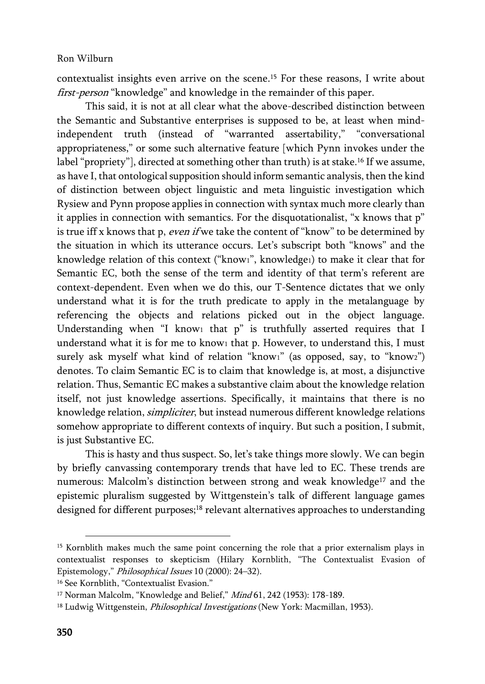contextualist insights even arrive on the scene.<sup>15</sup> For these reasons, I write about first-person "knowledge" and knowledge in the remainder of this paper.

This said, it is not at all clear what the above-described distinction between the Semantic and Substantive enterprises is supposed to be, at least when mindindependent truth (instead of "warranted assertability," "conversational appropriateness," or some such alternative feature [which Pynn invokes under the label "propriety"], directed at something other than truth) is at stake.<sup>16</sup> If we assume, as have I, that ontological supposition should inform semantic analysis, then the kind of distinction between object linguistic and meta linguistic investigation which Rysiew and Pynn propose applies in connection with syntax much more clearly than it applies in connection with semantics. For the disquotationalist, "x knows that p" is true iff x knows that p, even if we take the content of "know" to be determined by the situation in which its utterance occurs. Let's subscript both "knows" and the knowledge relation of this context ("know1", knowledge1) to make it clear that for Semantic EC, both the sense of the term and identity of that term's referent are context-dependent. Even when we do this, our T-Sentence dictates that we only understand what it is for the truth predicate to apply in the metalanguage by referencing the objects and relations picked out in the object language. Understanding when "I know1 that p" is truthfully asserted requires that I understand what it is for me to know<sub>1</sub> that p. However, to understand this, I must surely ask myself what kind of relation "know1" (as opposed, say, to "know2") denotes. To claim Semantic EC is to claim that knowledge is, at most, a disjunctive relation. Thus, Semantic EC makes a substantive claim about the knowledge relation itself, not just knowledge assertions. Specifically, it maintains that there is no knowledge relation, simpliciter, but instead numerous different knowledge relations somehow appropriate to different contexts of inquiry. But such a position, I submit, is just Substantive EC.

This is hasty and thus suspect. So, let's take things more slowly. We can begin by briefly canvassing contemporary trends that have led to EC. These trends are numerous: Malcolm's distinction between strong and weak knowledge<sup>17</sup> and the epistemic pluralism suggested by Wittgenstein's talk of different language games designed for different purposes;<sup>18</sup> relevant alternatives approaches to understanding

<sup>&</sup>lt;sup>15</sup> Kornblith makes much the same point concerning the role that a prior externalism plays in contextualist responses to skepticism (Hilary Kornblith, "The Contextualist Evasion of Epistemology," Philosophical Issues 10 (2000): 24–32).

<sup>&</sup>lt;sup>16</sup> See Kornblith, "Contextualist Evasion."

<sup>&</sup>lt;sup>17</sup> Norman Malcolm, "Knowledge and Belief," *Mind* 61, 242 (1953): 178-189.

<sup>&</sup>lt;sup>18</sup> Ludwig Wittgenstein, *Philosophical Investigations* (New York: Macmillan, 1953).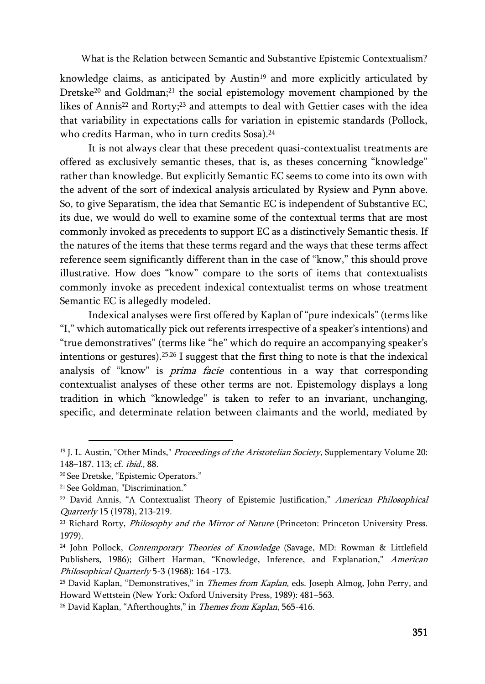knowledge claims, as anticipated by Austin<sup>19</sup> and more explicitly articulated by Dretske<sup>20</sup> and Goldman;<sup>21</sup> the social epistemology movement championed by the likes of Annis<sup>22</sup> and Rorty;<sup>23</sup> and attempts to deal with Gettier cases with the idea that variability in expectations calls for variation in epistemic standards (Pollock, who credits Harman, who in turn credits Sosa).<sup>24</sup>

It is not always clear that these precedent quasi-contextualist treatments are offered as exclusively semantic theses, that is, as theses concerning "knowledge" rather than knowledge. But explicitly Semantic EC seems to come into its own with the advent of the sort of indexical analysis articulated by Rysiew and Pynn above. So, to give Separatism, the idea that Semantic EC is independent of Substantive EC, its due, we would do well to examine some of the contextual terms that are most commonly invoked as precedents to support EC as a distinctively Semantic thesis. If the natures of the items that these terms regard and the ways that these terms affect reference seem significantly different than in the case of "know," this should prove illustrative. How does "know" compare to the sorts of items that contextualists commonly invoke as precedent indexical contextualist terms on whose treatment Semantic EC is allegedly modeled.

Indexical analyses were first offered by Kaplan of "pure indexicals" (terms like "I," which automatically pick out referents irrespective of a speaker's intentions) and "true demonstratives" (terms like "he" which do require an accompanying speaker's intentions or gestures).25,26 I suggest that the first thing to note is that the indexical analysis of "know" is prima facie contentious in a way that corresponding contextualist analyses of these other terms are not. Epistemology displays a long tradition in which "knowledge" is taken to refer to an invariant, unchanging, specific, and determinate relation between claimants and the world, mediated by

<sup>&</sup>lt;sup>19</sup> J. L. Austin, "Other Minds," *Proceedings of the Aristotelian Society*, Supplementary Volume 20: 148–187. 113; cf. ibid., 88.

<sup>20</sup> See Dretske, "Epistemic Operators."

<sup>21</sup> See Goldman, "Discrimination."

<sup>&</sup>lt;sup>22</sup> David Annis, "A Contextualist Theory of Epistemic Justification," American Philosophical Quarterly 15 (1978), 213-219.

<sup>&</sup>lt;sup>23</sup> Richard Rorty, *Philosophy and the Mirror of Nature* (Princeton: Princeton University Press. 1979).

<sup>&</sup>lt;sup>24</sup> John Pollock, *Contemporary Theories of Knowledge* (Savage, MD: Rowman & Littlefield Publishers, 1986); Gilbert Harman, "Knowledge, Inference, and Explanation," American Philosophical Quarterly 5-3 (1968): 164 -173.

<sup>&</sup>lt;sup>25</sup> David Kaplan, "Demonstratives," in *Themes from Kaplan*, eds. Joseph Almog, John Perry, and Howard Wettstein (New York: Oxford University Press, 1989): 481–563.

<sup>&</sup>lt;sup>26</sup> David Kaplan, "Afterthoughts," in *Themes from Kaplan*, 565-416.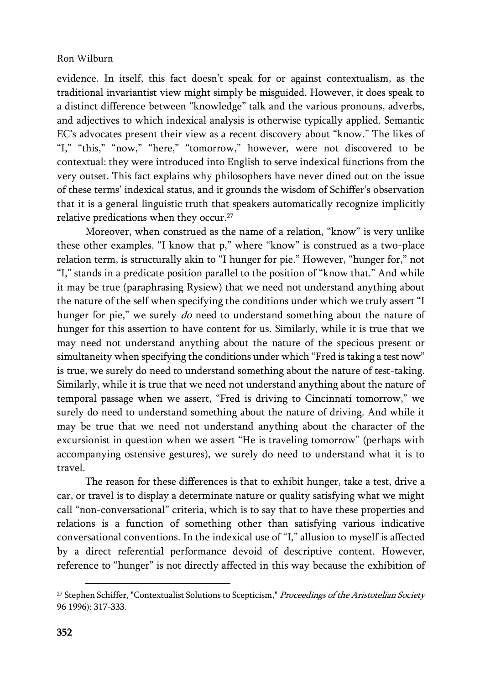evidence. In itself, this fact doesn't speak for or against contextualism, as the traditional invariantist view might simply be misguided. However, it does speak to a distinct difference between "knowledge" talk and the various pronouns, adverbs, and adjectives to which indexical analysis is otherwise typically applied. Semantic EC's advocates present their view as a recent discovery about "know." The likes of "I," "this," "now," "here," "tomorrow," however, were not discovered to be contextual: they were introduced into English to serve indexical functions from the very outset. This fact explains why philosophers have never dined out on the issue of these terms' indexical status, and it grounds the wisdom of Schiffer's observation that it is a general linguistic truth that speakers automatically recognize implicitly relative predications when they occur.<sup>27</sup>

Moreover, when construed as the name of a relation, "know" is very unlike these other examples. "I know that p," where "know" is construed as a two-place relation term, is structurally akin to "I hunger for pie." However, "hunger for," not "I," stands in a predicate position parallel to the position of "know that." And while it may be true (paraphrasing Rysiew) that we need not understand anything about the nature of the self when specifying the conditions under which we truly assert "I hunger for pie," we surely do need to understand something about the nature of hunger for this assertion to have content for us. Similarly, while it is true that we may need not understand anything about the nature of the specious present or simultaneity when specifying the conditions under which "Fred is taking a test now" is true, we surely do need to understand something about the nature of test-taking. Similarly, while it is true that we need not understand anything about the nature of temporal passage when we assert, "Fred is driving to Cincinnati tomorrow," we surely do need to understand something about the nature of driving. And while it may be true that we need not understand anything about the character of the excursionist in question when we assert "He is traveling tomorrow" (perhaps with accompanying ostensive gestures), we surely do need to understand what it is to travel.

The reason for these differences is that to exhibit hunger, take a test, drive a car, or travel is to display a determinate nature or quality satisfying what we might call "non-conversational" criteria, which is to say that to have these properties and relations is a function of something other than satisfying various indicative conversational conventions. In the indexical use of "I," allusion to myself is affected by a direct referential performance devoid of descriptive content. However, reference to "hunger" is not directly affected in this way because the exhibition of

<sup>&</sup>lt;sup>27</sup> Stephen Schiffer, "Contextualist Solutions to Scepticism," Proceedings of the Aristotelian Society 96 1996): 317-333.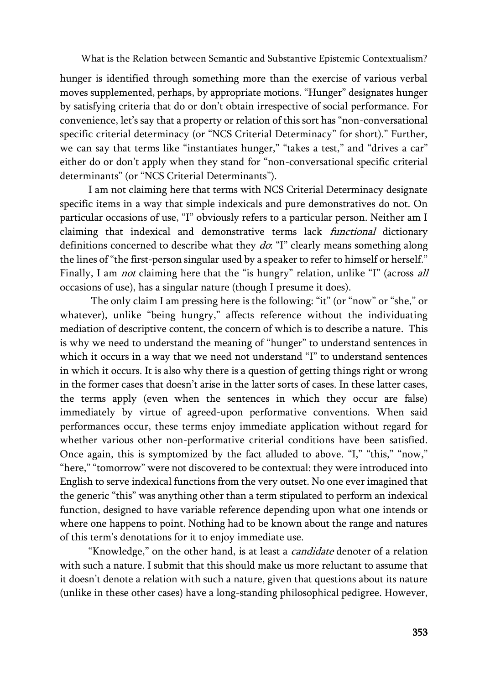hunger is identified through something more than the exercise of various verbal moves supplemented, perhaps, by appropriate motions. "Hunger" designates hunger by satisfying criteria that do or don't obtain irrespective of social performance. For convenience, let's say that a property or relation of this sort has "non-conversational specific criterial determinacy (or "NCS Criterial Determinacy" for short)." Further, we can say that terms like "instantiates hunger," "takes a test," and "drives a car" either do or don't apply when they stand for "non-conversational specific criterial determinants" (or "NCS Criterial Determinants").

I am not claiming here that terms with NCS Criterial Determinacy designate specific items in a way that simple indexicals and pure demonstratives do not. On particular occasions of use, "I" obviously refers to a particular person. Neither am I claiming that indexical and demonstrative terms lack *functional* dictionary definitions concerned to describe what they  $d\sigma$ . "I" clearly means something along the lines of "the first-person singular used by a speaker to refer to himself or herself." Finally, I am *not* claiming here that the "is hungry" relation, unlike "I" (across all occasions of use), has a singular nature (though I presume it does).

The only claim I am pressing here is the following: "it" (or "now" or "she," or whatever), unlike "being hungry," affects reference without the individuating mediation of descriptive content, the concern of which is to describe a nature. This is why we need to understand the meaning of "hunger" to understand sentences in which it occurs in a way that we need not understand "I" to understand sentences in which it occurs. It is also why there is a question of getting things right or wrong in the former cases that doesn't arise in the latter sorts of cases. In these latter cases, the terms apply (even when the sentences in which they occur are false) immediately by virtue of agreed-upon performative conventions. When said performances occur, these terms enjoy immediate application without regard for whether various other non-performative criterial conditions have been satisfied. Once again, this is symptomized by the fact alluded to above. "I," "this," "now," "here," "tomorrow" were not discovered to be contextual: they were introduced into English to serve indexical functions from the very outset. No one ever imagined that the generic "this" was anything other than a term stipulated to perform an indexical function, designed to have variable reference depending upon what one intends or where one happens to point. Nothing had to be known about the range and natures of this term's denotations for it to enjoy immediate use.

"Knowledge," on the other hand, is at least a *candidate* denoter of a relation with such a nature. I submit that this should make us more reluctant to assume that it doesn't denote a relation with such a nature, given that questions about its nature (unlike in these other cases) have a long-standing philosophical pedigree. However,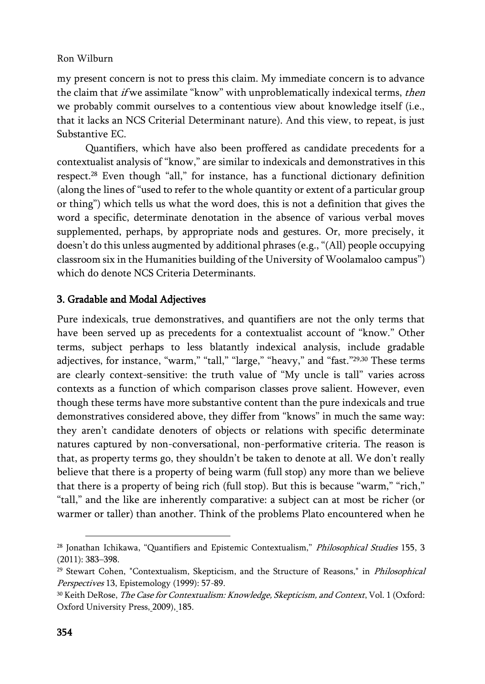my present concern is not to press this claim. My immediate concern is to advance the claim that *if* we assimilate "know" with unproblematically indexical terms, *then* we probably commit ourselves to a contentious view about knowledge itself (i.e., that it lacks an NCS Criterial Determinant nature). And this view, to repeat, is just Substantive EC.

Quantifiers, which have also been proffered as candidate precedents for a contextualist analysis of "know," are similar to indexicals and demonstratives in this respect.<sup>28</sup> Even though "all," for instance, has a functional dictionary definition (along the lines of "used to refer to the whole quantity or extent of a particular group or thing") which tells us what the word does, this is not a definition that gives the word a specific, determinate denotation in the absence of various verbal moves supplemented, perhaps, by appropriate nods and gestures. Or, more precisely, it doesn't do this unless augmented by additional phrases (e.g., "(All) people occupying classroom six in the Humanities building of the University of Woolamaloo campus") which do denote NCS Criteria Determinants.

# 3. Gradable and Modal Adjectives

Pure indexicals, true demonstratives, and quantifiers are not the only terms that have been served up as precedents for a contextualist account of "know." Other terms, subject perhaps to less blatantly indexical analysis, include gradable adjectives, for instance, "warm," "tall," "large," "heavy," and "fast."<sup>29,30</sup> These terms are clearly context-sensitive: the truth value of "My uncle is tall" varies across contexts as a function of which comparison classes prove salient. However, even though these terms have more substantive content than the pure indexicals and true demonstratives considered above, they differ from "knows" in much the same way: they aren't candidate denoters of objects or relations with specific determinate natures captured by non-conversational, non-performative criteria. The reason is that, as property terms go, they shouldn't be taken to denote at all. We don't really believe that there is a property of being warm (full stop) any more than we believe that there is a property of being rich (full stop). But this is because "warm," "rich," "tall," and the like are inherently comparative: a subject can at most be richer (or warmer or taller) than another. Think of the problems Plato encountered when he

<sup>&</sup>lt;sup>28</sup> Jonathan Ichikawa, "Quantifiers and Epistemic Contextualism," Philosophical Studies 155, 3 (2011): 383–398.

<sup>&</sup>lt;sup>29</sup> Stewart Cohen, "Contextualism, Skepticism, and the Structure of Reasons," in *Philosophical* Perspectives 13, Epistemology (1999): 57-89.

<sup>&</sup>lt;sup>30</sup> Keith DeRose, *The Case for Contextualism: Knowledge, Skepticism, and Context*, Vol. 1 (Oxford: Oxford University Press, 2009), 185.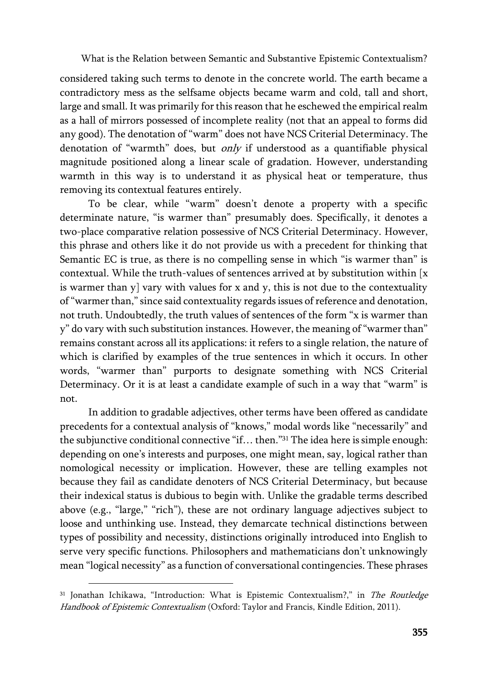considered taking such terms to denote in the concrete world. The earth became a contradictory mess as the selfsame objects became warm and cold, tall and short, large and small. It was primarily for this reason that he eschewed the empirical realm as a hall of mirrors possessed of incomplete reality (not that an appeal to forms did any good). The denotation of "warm" does not have NCS Criterial Determinacy. The denotation of "warmth" does, but only if understood as a quantifiable physical magnitude positioned along a linear scale of gradation. However, understanding warmth in this way is to understand it as physical heat or temperature, thus removing its contextual features entirely.

To be clear, while "warm" doesn't denote a property with a specific determinate nature, "is warmer than" presumably does. Specifically, it denotes a two-place comparative relation possessive of NCS Criterial Determinacy. However, this phrase and others like it do not provide us with a precedent for thinking that Semantic EC is true, as there is no compelling sense in which "is warmer than" is contextual. While the truth-values of sentences arrived at by substitution within [x is warmer than  $y$ ] vary with values for x and y, this is not due to the contextuality of "warmer than," since said contextuality regards issues of reference and denotation, not truth. Undoubtedly, the truth values of sentences of the form "x is warmer than y" do vary with such substitution instances. However, the meaning of "warmer than" remains constant across all its applications: it refers to a single relation, the nature of which is clarified by examples of the true sentences in which it occurs. In other words, "warmer than" purports to designate something with NCS Criterial Determinacy. Or it is at least a candidate example of such in a way that "warm" is not.

In addition to gradable adjectives, other terms have been offered as candidate precedents for a contextual analysis of "knows," modal words like "necessarily" and the subjunctive conditional connective "if… then."<sup>31</sup> The idea here is simple enough: depending on one's interests and purposes, one might mean, say, logical rather than nomological necessity or implication. However, these are telling examples not because they fail as candidate denoters of NCS Criterial Determinacy, but because their indexical status is dubious to begin with. Unlike the gradable terms described above (e.g., "large," "rich"), these are not ordinary language adjectives subject to loose and unthinking use. Instead, they demarcate technical distinctions between types of possibility and necessity, distinctions originally introduced into English to serve very specific functions. Philosophers and mathematicians don't unknowingly mean "logical necessity" as a function of conversational contingencies. These phrases

<sup>&</sup>lt;sup>31</sup> Jonathan Ichikawa, "Introduction: What is Epistemic Contextualism?," in The Routledge Handbook of Epistemic Contextualism (Oxford: Taylor and Francis, Kindle Edition, 2011).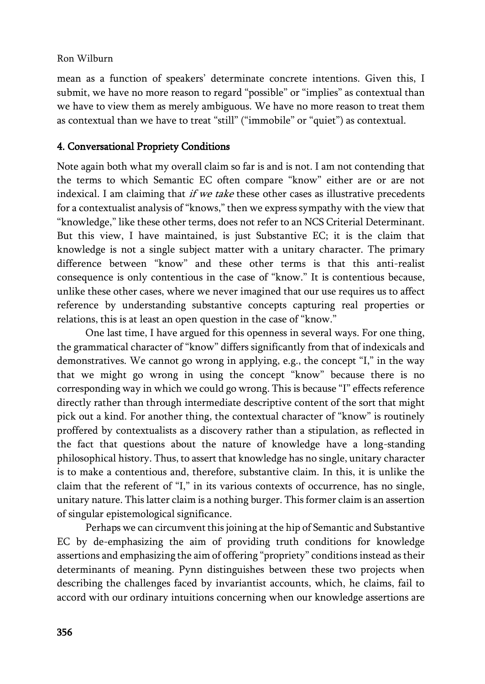mean as a function of speakers' determinate concrete intentions. Given this, I submit, we have no more reason to regard "possible" or "implies" as contextual than we have to view them as merely ambiguous. We have no more reason to treat them as contextual than we have to treat "still" ("immobile" or "quiet") as contextual.

## 4. Conversational Propriety Conditions

Note again both what my overall claim so far is and is not. I am not contending that the terms to which Semantic EC often compare "know" either are or are not indexical. I am claiming that if we take these other cases as illustrative precedents for a contextualist analysis of "knows," then we express sympathy with the view that "knowledge," like these other terms, does not refer to an NCS Criterial Determinant. But this view, I have maintained, is just Substantive EC; it is the claim that knowledge is not a single subject matter with a unitary character. The primary difference between "know" and these other terms is that this anti-realist consequence is only contentious in the case of "know." It is contentious because, unlike these other cases, where we never imagined that our use requires us to affect reference by understanding substantive concepts capturing real properties or relations, this is at least an open question in the case of "know."

One last time, I have argued for this openness in several ways. For one thing, the grammatical character of "know" differs significantly from that of indexicals and demonstratives. We cannot go wrong in applying, e.g., the concept "I," in the way that we might go wrong in using the concept "know" because there is no corresponding way in which we could go wrong. This is because "I" effects reference directly rather than through intermediate descriptive content of the sort that might pick out a kind. For another thing, the contextual character of "know" is routinely proffered by contextualists as a discovery rather than a stipulation, as reflected in the fact that questions about the nature of knowledge have a long-standing philosophical history. Thus, to assert that knowledge has no single, unitary character is to make a contentious and, therefore, substantive claim. In this, it is unlike the claim that the referent of "I," in its various contexts of occurrence, has no single, unitary nature. This latter claim is a nothing burger. This former claim is an assertion of singular epistemological significance.

Perhaps we can circumvent this joining at the hip of Semantic and Substantive EC by de-emphasizing the aim of providing truth conditions for knowledge assertions and emphasizing the aim of offering "propriety" conditions instead as their determinants of meaning. Pynn distinguishes between these two projects when describing the challenges faced by invariantist accounts, which, he claims, fail to accord with our ordinary intuitions concerning when our knowledge assertions are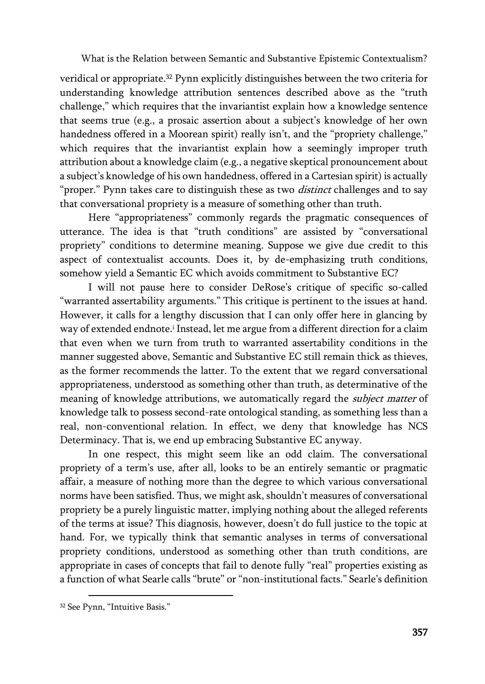veridical or appropriate.<sup>32</sup> Pynn explicitly distinguishes between the two criteria for understanding knowledge attribution sentences described above as the "truth challenge," which requires that the invariantist explain how a knowledge sentence that seems true (e.g., a prosaic assertion about a subject's knowledge of her own handedness offered in a Moorean spirit) really isn't, and the "propriety challenge," which requires that the invariantist explain how a seemingly improper truth attribution about a knowledge claim (e.g., a negative skeptical pronouncement about a subject's knowledge of his own handedness, offered in a Cartesian spirit) is actually "proper." Pynn takes care to distinguish these as two *distinct* challenges and to say that conversational propriety is a measure of something other than truth.

Here "appropriateness" commonly regards the pragmatic consequences of utterance. The idea is that "truth conditions" are assisted by "conversational propriety" conditions to determine meaning. Suppose we give due credit to this aspect of contextualist accounts. Does it, by de-emphasizing truth conditions, somehow yield a Semantic EC which avoids commitment to Substantive EC?

I will not pause here to consider DeRose's critique of specific so-called "warranted assertability arguments." This critique is pertinent to the issues at hand. However, it calls for a lengthy discussion that I can only offer here in glancing by way of extended endnote.<sup>i</sup> Instead, let me argue from a different direction for a claim that even when we turn from truth to warranted assertability conditions in the manner suggested above, Semantic and Substantive EC still remain thick as thieves, as the former recommends the latter. To the extent that we regard conversational appropriateness, understood as something other than truth, as determinative of the meaning of knowledge attributions, we automatically regard the *subject matter* of knowledge talk to possess second-rate ontological standing, as something less than a real, non-conventional relation. In effect, we deny that knowledge has NCS Determinacy. That is, we end up embracing Substantive EC anyway.

In one respect, this might seem like an odd claim. The conversational propriety of a term's use, after all, looks to be an entirely semantic or pragmatic affair, a measure of nothing more than the degree to which various conversational norms have been satisfied. Thus, we might ask, shouldn't measures of conversational propriety be a purely linguistic matter, implying nothing about the alleged referents of the terms at issue? This diagnosis, however, doesn't do full justice to the topic at hand. For, we typically think that semantic analyses in terms of conversational propriety conditions, understood as something other than truth conditions, are appropriate in cases of concepts that fail to denote fully "real" properties existing as a function of what Searle calls "brute" or "non-institutional facts." Searle's definition

<sup>32</sup> See Pynn, "Intuitive Basis."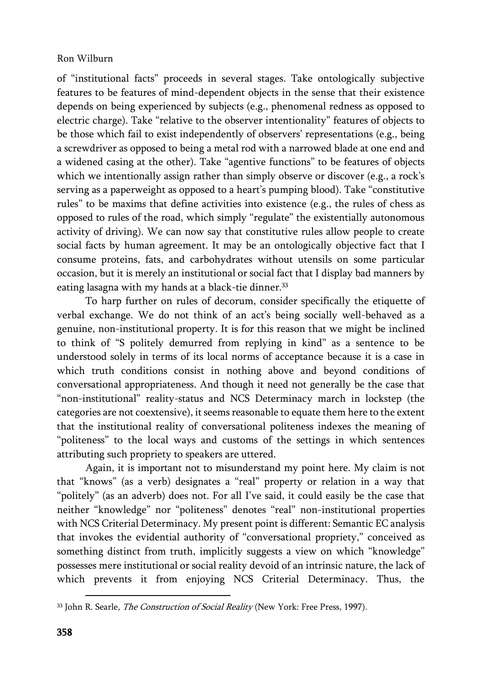of "institutional facts" proceeds in several stages. Take ontologically subjective features to be features of mind-dependent objects in the sense that their existence depends on being experienced by subjects (e.g., phenomenal redness as opposed to electric charge). Take "relative to the observer intentionality" features of objects to be those which fail to exist independently of observers' representations (e.g., being a screwdriver as opposed to being a metal rod with a narrowed blade at one end and a widened casing at the other). Take "agentive functions" to be features of objects which we intentionally assign rather than simply observe or discover (e.g., a rock's serving as a paperweight as opposed to a heart's pumping blood). Take "constitutive rules" to be maxims that define activities into existence (e.g., the rules of chess as opposed to rules of the road, which simply "regulate" the existentially autonomous activity of driving). We can now say that constitutive rules allow people to create social facts by human agreement. It may be an ontologically objective fact that I consume proteins, fats, and carbohydrates without utensils on some particular occasion, but it is merely an institutional or social fact that I display bad manners by eating lasagna with my hands at a black-tie dinner.<sup>33</sup>

To harp further on rules of decorum, consider specifically the etiquette of verbal exchange. We do not think of an act's being socially well-behaved as a genuine, non-institutional property. It is for this reason that we might be inclined to think of "S politely demurred from replying in kind" as a sentence to be understood solely in terms of its local norms of acceptance because it is a case in which truth conditions consist in nothing above and beyond conditions of conversational appropriateness. And though it need not generally be the case that "non-institutional" reality-status and NCS Determinacy march in lockstep (the categories are not coextensive), it seems reasonable to equate them here to the extent that the institutional reality of conversational politeness indexes the meaning of "politeness" to the local ways and customs of the settings in which sentences attributing such propriety to speakers are uttered.

Again, it is important not to misunderstand my point here. My claim is not that "knows" (as a verb) designates a "real" property or relation in a way that "politely" (as an adverb) does not. For all I've said, it could easily be the case that neither "knowledge" nor "politeness" denotes "real" non-institutional properties with NCS Criterial Determinacy. My present point is different: Semantic EC analysis that invokes the evidential authority of "conversational propriety," conceived as something distinct from truth, implicitly suggests a view on which "knowledge" possesses mere institutional or social reality devoid of an intrinsic nature, the lack of which prevents it from enjoying NCS Criterial Determinacy. Thus, the

<sup>&</sup>lt;sup>33</sup> John R. Searle, *The Construction of Social Reality* (New York: Free Press, 1997).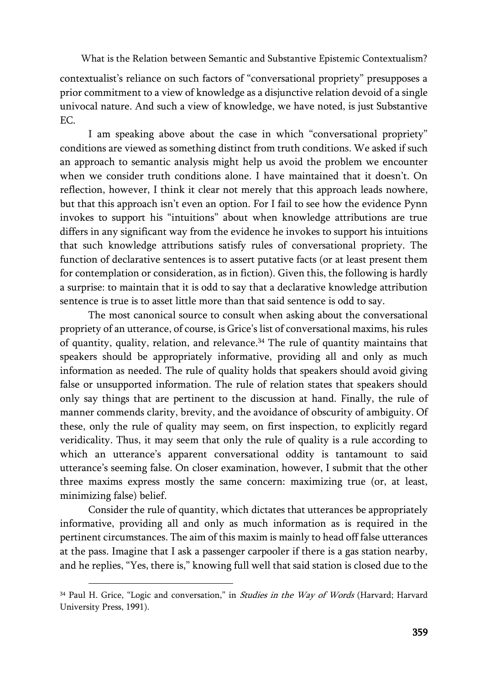contextualist's reliance on such factors of "conversational propriety" presupposes a prior commitment to a view of knowledge as a disjunctive relation devoid of a single univocal nature. And such a view of knowledge, we have noted, is just Substantive EC.

I am speaking above about the case in which "conversational propriety" conditions are viewed as something distinct from truth conditions. We asked if such an approach to semantic analysis might help us avoid the problem we encounter when we consider truth conditions alone. I have maintained that it doesn't. On reflection, however, I think it clear not merely that this approach leads nowhere, but that this approach isn't even an option. For I fail to see how the evidence Pynn invokes to support his "intuitions" about when knowledge attributions are true differs in any significant way from the evidence he invokes to support his intuitions that such knowledge attributions satisfy rules of conversational propriety. The function of declarative sentences is to assert putative facts (or at least present them for contemplation or consideration, as in fiction). Given this, the following is hardly a surprise: to maintain that it is odd to say that a declarative knowledge attribution sentence is true is to asset little more than that said sentence is odd to say.

The most canonical source to consult when asking about the conversational propriety of an utterance, of course, is Grice's list of conversational maxims, his rules of quantity, quality, relation, and relevance.<sup>34</sup> The rule of quantity maintains that speakers should be appropriately informative, providing all and only as much information as needed. The rule of quality holds that speakers should avoid giving false or unsupported information. The rule of relation states that speakers should only say things that are pertinent to the discussion at hand. Finally, the rule of manner commends clarity, brevity, and the avoidance of obscurity of ambiguity. Of these, only the rule of quality may seem, on first inspection, to explicitly regard veridicality. Thus, it may seem that only the rule of quality is a rule according to which an utterance's apparent conversational oddity is tantamount to said utterance's seeming false. On closer examination, however, I submit that the other three maxims express mostly the same concern: maximizing true (or, at least, minimizing false) belief.

Consider the rule of quantity, which dictates that utterances be appropriately informative, providing all and only as much information as is required in the pertinent circumstances. The aim of this maxim is mainly to head off false utterances at the pass. Imagine that I ask a passenger carpooler if there is a gas station nearby, and he replies, "Yes, there is," knowing full well that said station is closed due to the

<sup>&</sup>lt;sup>34</sup> Paul H. Grice, "Logic and conversation," in *Studies in the Way of Words* (Harvard; Harvard University Press, 1991).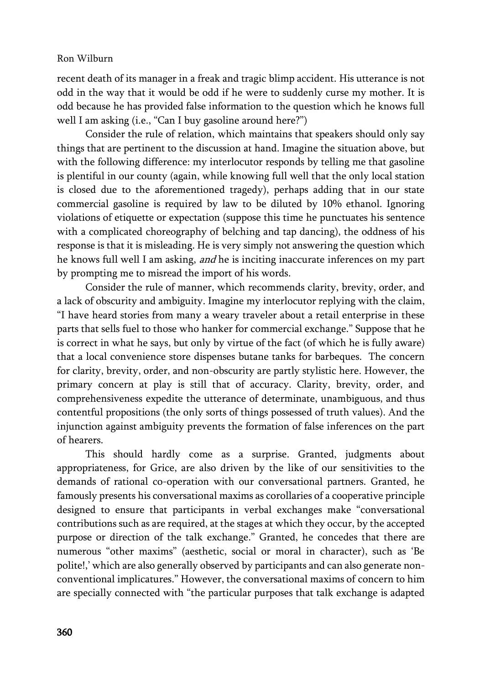recent death of its manager in a freak and tragic blimp accident. His utterance is not odd in the way that it would be odd if he were to suddenly curse my mother. It is odd because he has provided false information to the question which he knows full well I am asking (i.e., "Can I buy gasoline around here?")

Consider the rule of relation, which maintains that speakers should only say things that are pertinent to the discussion at hand. Imagine the situation above, but with the following difference: my interlocutor responds by telling me that gasoline is plentiful in our county (again, while knowing full well that the only local station is closed due to the aforementioned tragedy), perhaps adding that in our state commercial gasoline is required by law to be diluted by 10% ethanol. Ignoring violations of etiquette or expectation (suppose this time he punctuates his sentence with a complicated choreography of belching and tap dancing), the oddness of his response is that it is misleading. He is very simply not answering the question which he knows full well I am asking, and he is inciting inaccurate inferences on my part by prompting me to misread the import of his words.

Consider the rule of manner, which recommends clarity, brevity, order, and a lack of obscurity and ambiguity. Imagine my interlocutor replying with the claim, "I have heard stories from many a weary traveler about a retail enterprise in these parts that sells fuel to those who hanker for commercial exchange." Suppose that he is correct in what he says, but only by virtue of the fact (of which he is fully aware) that a local convenience store dispenses butane tanks for barbeques. The concern for clarity, brevity, order, and non-obscurity are partly stylistic here. However, the primary concern at play is still that of accuracy. Clarity, brevity, order, and comprehensiveness expedite the utterance of determinate, unambiguous, and thus contentful propositions (the only sorts of things possessed of truth values). And the injunction against ambiguity prevents the formation of false inferences on the part of hearers.

This should hardly come as a surprise. Granted, judgments about appropriateness, for Grice, are also driven by the like of our sensitivities to the demands of rational co-operation with our conversational partners. Granted, he famously presents his conversational maxims as corollaries of a cooperative principle designed to ensure that participants in verbal exchanges make "conversational contributions such as are required, at the stages at which they occur, by the accepted purpose or direction of the talk exchange." Granted, he concedes that there are numerous "other maxims" (aesthetic, social or moral in character), such as 'Be polite!,' which are also generally observed by participants and can also generate nonconventional implicatures." However, the conversational maxims of concern to him are specially connected with "the particular purposes that talk exchange is adapted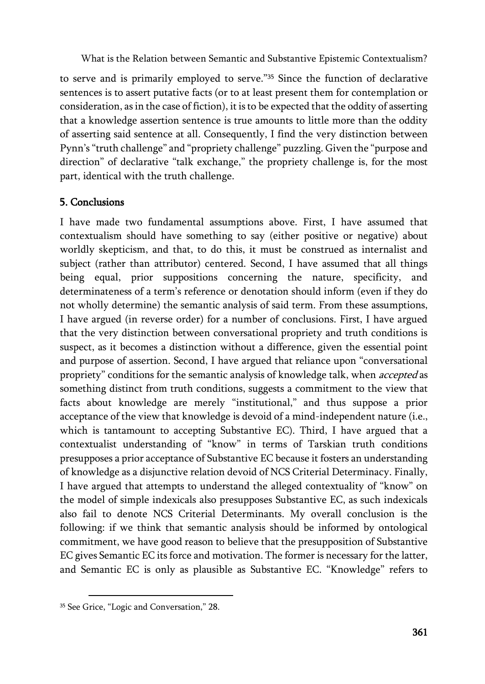to serve and is primarily employed to serve."<sup>35</sup> Since the function of declarative sentences is to assert putative facts (or to at least present them for contemplation or consideration, as in the case of fiction), it is to be expected that the oddity of asserting that a knowledge assertion sentence is true amounts to little more than the oddity of asserting said sentence at all. Consequently, I find the very distinction between Pynn's "truth challenge" and "propriety challenge" puzzling. Given the "purpose and direction" of declarative "talk exchange," the propriety challenge is, for the most part, identical with the truth challenge.

# 5. Conclusions

I have made two fundamental assumptions above. First, I have assumed that contextualism should have something to say (either positive or negative) about worldly skepticism, and that, to do this, it must be construed as internalist and subject (rather than attributor) centered. Second, I have assumed that all things being equal, prior suppositions concerning the nature, specificity, and determinateness of a term's reference or denotation should inform (even if they do not wholly determine) the semantic analysis of said term. From these assumptions, I have argued (in reverse order) for a number of conclusions. First, I have argued that the very distinction between conversational propriety and truth conditions is suspect, as it becomes a distinction without a difference, given the essential point and purpose of assertion. Second, I have argued that reliance upon "conversational propriety" conditions for the semantic analysis of knowledge talk, when *accepted* as something distinct from truth conditions, suggests a commitment to the view that facts about knowledge are merely "institutional," and thus suppose a prior acceptance of the view that knowledge is devoid of a mind-independent nature (i.e., which is tantamount to accepting Substantive EC). Third, I have argued that a contextualist understanding of "know" in terms of Tarskian truth conditions presupposes a prior acceptance of Substantive EC because it fosters an understanding of knowledge as a disjunctive relation devoid of NCS Criterial Determinacy. Finally, I have argued that attempts to understand the alleged contextuality of "know" on the model of simple indexicals also presupposes Substantive EC, as such indexicals also fail to denote NCS Criterial Determinants. My overall conclusion is the following: if we think that semantic analysis should be informed by ontological commitment, we have good reason to believe that the presupposition of Substantive EC gives Semantic EC its force and motivation. The former is necessary for the latter, and Semantic EC is only as plausible as Substantive EC. "Knowledge" refers to

<sup>35</sup> See Grice, "Logic and Conversation," 28.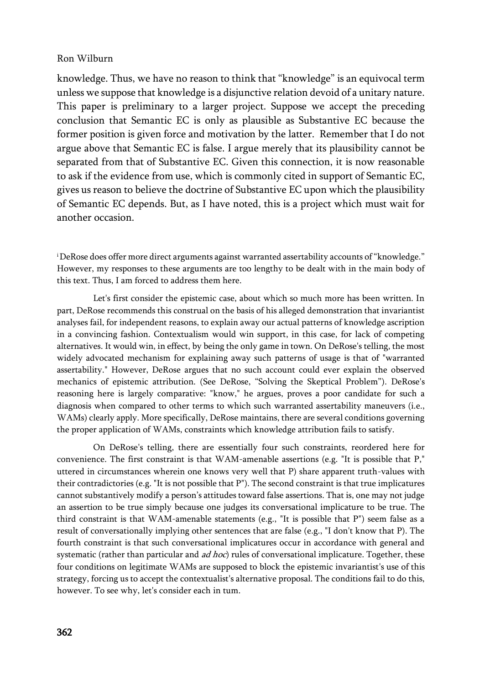knowledge. Thus, we have no reason to think that "knowledge" is an equivocal term unless we suppose that knowledge is a disjunctive relation devoid of a unitary nature. This paper is preliminary to a larger project. Suppose we accept the preceding conclusion that Semantic EC is only as plausible as Substantive EC because the former position is given force and motivation by the latter. Remember that I do not argue above that Semantic EC is false. I argue merely that its plausibility cannot be separated from that of Substantive EC. Given this connection, it is now reasonable to ask if the evidence from use, which is commonly cited in support of Semantic EC, gives us reason to believe the doctrine of Substantive EC upon which the plausibility of Semantic EC depends. But, as I have noted, this is a project which must wait for another occasion.

<sup>i</sup>DeRose does offer more direct arguments against warranted assertability accounts of "knowledge." However, my responses to these arguments are too lengthy to be dealt with in the main body of this text. Thus, I am forced to address them here.

Let's first consider the epistemic case, about which so much more has been written. In part, DeRose recommends this construal on the basis of his alleged demonstration that invariantist analyses fail, for independent reasons, to explain away our actual patterns of knowledge ascription in a convincing fashion. Contextualism would win support, in this case, for lack of competing alternatives. It would win, in effect, by being the only game in town. On DeRose's telling, the most widely advocated mechanism for explaining away such patterns of usage is that of "warranted assertability." However, DeRose argues that no such account could ever explain the observed mechanics of epistemic attribution. (See DeRose, "Solving the Skeptical Problem"). DeRose's reasoning here is largely comparative: "know," he argues, proves a poor candidate for such a diagnosis when compared to other terms to which such warranted assertability maneuvers (i.e., WAMs) clearly apply. More specifically, DeRose maintains, there are several conditions governing the proper application of WAMs, constraints which knowledge attribution fails to satisfy.

On DeRose's telling, there are essentially four such constraints, reordered here for convenience. The first constraint is that WAM-amenable assertions (e.g. "It is possible that P," uttered in circumstances wherein one knows very well that P) share apparent truth-values with their contradictories (e.g. "It is not possible that P"). The second constraint is that true implicatures cannot substantively modify a person's attitudes toward false assertions. That is, one may not judge an assertion to be true simply because one judges its conversational implicature to be true. The third constraint is that WAM-amenable statements (e.g., "It is possible that P") seem false as a result of conversationally implying other sentences that are false (e.g., "I don't know that P). The fourth constraint is that such conversational implicatures occur in accordance with general and systematic (rather than particular and  $ad hoc$ ) rules of conversational implicature. Together, these four conditions on legitimate WAMs are supposed to block the epistemic invariantist's use of this strategy, forcing us to accept the contextualist's alternative proposal. The conditions fail to do this, however. To see why, let's consider each in tum.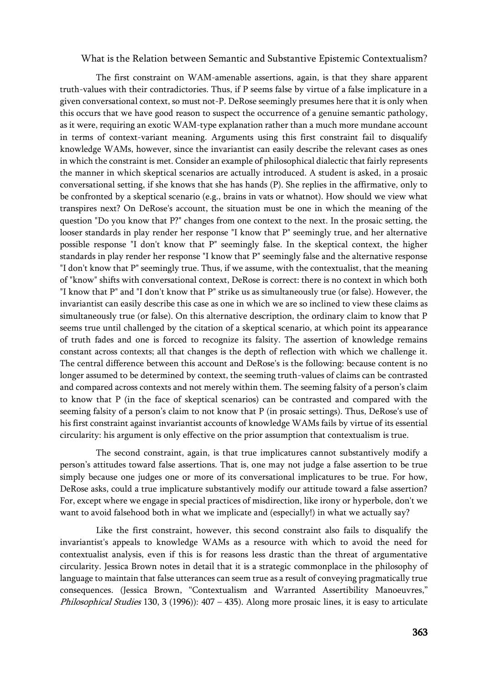The first constraint on WAM-amenable assertions, again, is that they share apparent truth-values with their contradictories. Thus, if P seems false by virtue of a false implicature in a given conversational context, so must not-P. DeRose seemingly presumes here that it is only when this occurs that we have good reason to suspect the occurrence of a genuine semantic pathology, as it were, requiring an exotic WAM-type explanation rather than a much more mundane account in terms of context-variant meaning. Arguments using this first constraint fail to disqualify knowledge WAMs, however, since the invariantist can easily describe the relevant cases as ones in which the constraint is met. Consider an example of philosophical dialectic that fairly represents the manner in which skeptical scenarios are actually introduced. A student is asked, in a prosaic conversational setting, if she knows that she has hands (P). She replies in the affirmative, only to be confronted by a skeptical scenario (e.g., brains in vats or whatnot). How should we view what transpires next? On DeRose's account, the situation must be one in which the meaning of the question "Do you know that P?" changes from one context to the next. In the prosaic setting, the looser standards in play render her response "I know that P" seemingly true, and her alternative possible response "I don't know that P" seemingly false. In the skeptical context, the higher standards in play render her response "I know that P" seemingly false and the alternative response "I don't know that P" seemingly true. Thus, if we assume, with the contextualist, that the meaning of "know" shifts with conversational context, DeRose is correct: there is no context in which both "I know that P" and "I don't know that P" strike us as simultaneously true (or false). However, the invariantist can easily describe this case as one in which we are so inclined to view these claims as simultaneously true (or false). On this alternative description, the ordinary claim to know that P seems true until challenged by the citation of a skeptical scenario, at which point its appearance of truth fades and one is forced to recognize its falsity. The assertion of knowledge remains constant across contexts; all that changes is the depth of reflection with which we challenge it. The central difference between this account and DeRose's is the following: because content is no longer assumed to be determined by context, the seeming truth-values of claims can be contrasted and compared across contexts and not merely within them. The seeming falsity of a person's claim to know that P (in the face of skeptical scenarios) can be contrasted and compared with the seeming falsity of a person's claim to not know that P (in prosaic settings). Thus, DeRose's use of his first constraint against invariantist accounts of knowledge WAMs fails by virtue of its essential circularity: his argument is only effective on the prior assumption that contextualism is true.

The second constraint, again, is that true implicatures cannot substantively modify a person's attitudes toward false assertions. That is, one may not judge a false assertion to be true simply because one judges one or more of its conversational implicatures to be true. For how, DeRose asks, could a true implicature substantively modify our attitude toward a false assertion? For, except where we engage in special practices of misdirection, like irony or hyperbole, don't we want to avoid falsehood both in what we implicate and (especially!) in what we actually say?

Like the first constraint, however, this second constraint also fails to disqualify the invariantist's appeals to knowledge WAMs as a resource with which to avoid the need for contextualist analysis, even if this is for reasons less drastic than the threat of argumentative circularity. Jessica Brown notes in detail that it is a strategic commonplace in the philosophy of language to maintain that false utterances can seem true as a result of conveying pragmatically true consequences. (Jessica Brown, "Contextualism and Warranted Assertibility Manoeuvres," Philosophical Studies 130, 3 (1996)): 407 – 435). Along more prosaic lines, it is easy to articulate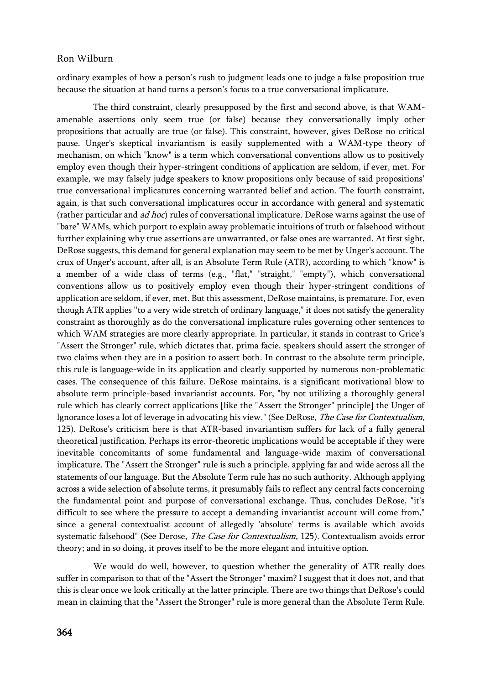ordinary examples of how a person's rush to judgment leads one to judge a false proposition true because the situation at hand turns a person's focus to a true conversational implicature.

The third constraint, clearly presupposed by the first and second above, is that WAMamenable assertions only seem true (or false) because they conversationally imply other propositions that actually are true (or false). This constraint, however, gives DeRose no critical pause. Unger's skeptical invariantism is easily supplemented with a WAM-type theory of mechanism, on which "know" is a term which conversational conventions allow us to positively employ even though their hyper-stringent conditions of application are seldom, if ever, met. For example, we may falsely judge speakers to know propositions only because of said propositions' true conversational implicatures concerning warranted belief and action. The fourth constraint, again, is that such conversational implicatures occur in accordance with general and systematic (rather particular and ad hoc) rules of conversational implicature. DeRose warns against the use of "bare" WAMs, which purport to explain away problematic intuitions of truth or falsehood without further explaining why true assertions are unwarranted, or false ones are warranted. At first sight, DeRose suggests, this demand for general explanation may seem to be met by Unger's account. The crux of Unger's account, after all, is an Absolute Term Rule (ATR), according to which "know" is a member of a wide class of terms (e.g., "flat," "straight," "empty"), which conversational conventions allow us to positively employ even though their hyper-stringent conditions of application are seldom, if ever, met. But this assessment, DeRose maintains, is premature. For, even though ATR applies ''to a very wide stretch of ordinary language," it does not satisfy the generality constraint as thoroughly as do the conversational implicature rules governing other sentences to which WAM strategies are more clearly appropriate. In particular, it stands in contrast to Grice's "Assert the Stronger" rule, which dictates that, prima facie, speakers should assert the stronger of two claims when they are in a position to assert both. In contrast to the absolute term principle, this rule is language-wide in its application and clearly supported by numerous non-problematic cases. The consequence of this failure, DeRose maintains, is a significant motivational blow to absolute term principle-based invariantist accounts. For, "by not utilizing a thoroughly general rule which has clearly correct applications [like the "Assert the Stronger" principle] the Unger of lgnorance loses a lot of leverage in advocating his view." (See DeRose, The Case for Contextualism, 125). DeRose's criticism here is that ATR-based invariantism suffers for lack of a fully general theoretical justification. Perhaps its error-theoretic implications would be acceptable if they were inevitable concomitants of some fundamental and language-wide maxim of conversational implicature. The "Assert the Stronger" rule is such a principle, applying far and wide across all the statements of our language. But the Absolute Term rule has no such authority. Although applying across a wide selection of absolute terms, it presumably fails to reflect any central facts concerning the fundamental point and purpose of conversational exchange. Thus, concludes DeRose, "it's difficult to see where the pressure to accept a demanding invariantist account will come from," since a general contextualist account of allegedly 'absolute' terms is available which avoids systematic falsehood" (See Derose, The Case for Contextualism, 125). Contextualism avoids error theory; and in so doing, it proves itself to be the more elegant and intuitive option.

We would do well, however, to question whether the generality of ATR really does suffer in comparison to that of the "Assert the Stronger" maxim? I suggest that it does not, and that this is clear once we look critically at the latter principle. There are two things that DeRose's could mean in claiming that the "Assert the Stronger" rule is more general than the Absolute Term Rule.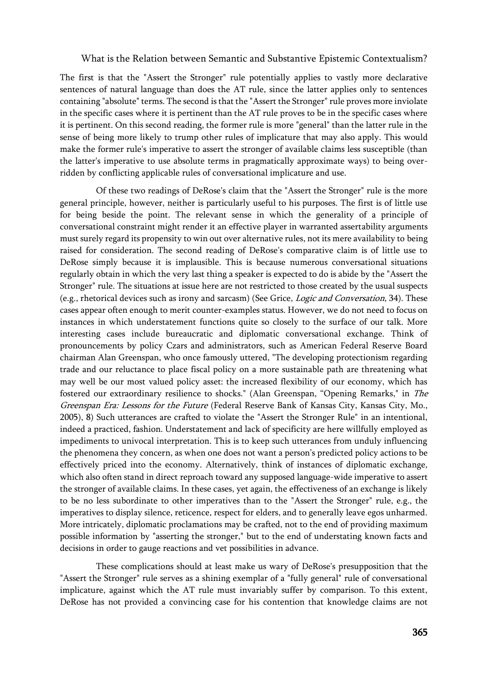The first is that the "Assert the Stronger" rule potentially applies to vastly more declarative sentences of natural language than does the AT rule, since the latter applies only to sentences containing "absolute" terms. The second is that the "Assert the Stronger" rule proves more inviolate in the specific cases where it is pertinent than the AT rule proves to be in the specific cases where it is pertinent. On this second reading, the former rule is more "general" than the latter rule in the sense of being more likely to trump other rules of implicature that may also apply. This would make the former rule's imperative to assert the stronger of available claims less susceptible (than the latter's imperative to use absolute terms in pragmatically approximate ways) to being overridden by conflicting applicable rules of conversational implicature and use.

Of these two readings of DeRose's claim that the "Assert the Stronger" rule is the more general principle, however, neither is particularly useful to his purposes. The first is of little use for being beside the point. The relevant sense in which the generality of a principle of conversational constraint might render it an effective player in warranted assertability arguments must surely regard its propensity to win out over alternative rules, not its mere availability to being raised for consideration. The second reading of DeRose's comparative claim is of little use to DeRose simply because it is implausible. This is because numerous conversational situations regularly obtain in which the very last thing a speaker is expected to do is abide by the "Assert the Stronger" rule. The situations at issue here are not restricted to those created by the usual suspects (e.g., rhetorical devices such as irony and sarcasm) (See Grice, Logic and Conversation, 34). These cases appear often enough to merit counter-examples status. However, we do not need to focus on instances in which understatement functions quite so closely to the surface of our talk. More interesting cases include bureaucratic and diplomatic conversational exchange. Think of pronouncements by policy Czars and administrators, such as American Federal Reserve Board chairman Alan Greenspan, who once famously uttered, "The developing protectionism regarding trade and our reluctance to place fiscal policy on a more sustainable path are threatening what may well be our most valued policy asset: the increased flexibility of our economy, which has fostered our extraordinary resilience to shocks." (Alan Greenspan, "Opening Remarks," in The Greenspan Era: Lessons for the Future (Federal Reserve Bank of Kansas City, Kansas City, Mo., 2005), 8) Such utterances are crafted to violate the "Assert the Stronger Rule" in an intentional, indeed a practiced, fashion. Understatement and lack of specificity are here willfully employed as impediments to univocal interpretation. This is to keep such utterances from unduly influencing the phenomena they concern, as when one does not want a person's predicted policy actions to be effectively priced into the economy. Alternatively, think of instances of diplomatic exchange, which also often stand in direct reproach toward any supposed language-wide imperative to assert the stronger of available claims. In these cases, yet again, the effectiveness of an exchange is likely to be no less subordinate to other imperatives than to the "Assert the Stronger" rule, e.g., the imperatives to display silence, reticence, respect for elders, and to generally leave egos unharmed. More intricately, diplomatic proclamations may be crafted, not to the end of providing maximum possible information by "asserting the stronger," but to the end of understating known facts and decisions in order to gauge reactions and vet possibilities in advance.

These complications should at least make us wary of DeRose's presupposition that the "Assert the Stronger" rule serves as a shining exemplar of a "fully general" rule of conversational implicature, against which the AT rule must invariably suffer by comparison. To this extent, DeRose has not provided a convincing case for his contention that knowledge claims are not